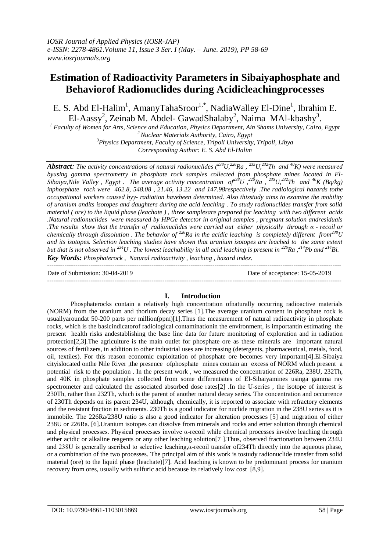# **Estimation of Radioactivity Parameters in Sibaiyaphosphate and Behaviorof Radionuclides during Acidicleachingprocesses**

E. S. Abd El-Halim<sup>1</sup>, AmanyTahaSroor<sup>1,\*</sup>, NadiaWalley El-Dine<sup>1</sup>, Ibrahim E. El-Aassy<sup>2</sup>, Zeinab M. Abdel- GawadShalaby<sup>2</sup>, Naima MAl-kbashy<sup>3</sup>.

*<sup>1</sup> Faculty of Women for Arts, Science and Education, Physics Department, Ain Shams University, Cairo, Egypt <sup>2</sup>Nuclear Materials Authority, Cairo, Egypt <sup>3</sup>Physics Department, Faculty of Science, Tripoli University, Tripoli, Libya*

*Corresponding Author: E. S. Abd El-Halim*

*Abstract: The activity concentrations of natural radionuclides*  $\binom{238}{32}$ *,*  $\binom{236}{24}$ *<i>Ra*,  $\binom{235}{232}$ *Th and* <sup>40</sup>*K*) were measured *byusing gamma spectrometry in phosphate rock samples collected from phosphate mines located in El-Sibaiya,Nile Valley , Egypt . The average activity concentration of<sup>238</sup>U ,<sup>226</sup>Ra , <sup>235</sup>U,<sup>232</sup>Th and <sup>40</sup>K (Bq/kg) inphosphate rock were 462.8, 548.08 , 21.46, 13.22 and 147.98respectively .The radiological hazards tothe occupational workers caused byγ- radiation havebeen determined. Also thisstudy aims to examine the mobility of uranium andits isotopes and daughters during the acid leaching . To study radionuclides transfer from solid material ( ore) to the liquid phase (leachate ) , three samplesare prepared for leaching with two different acids .Natural radionuclides were measured by HPGe detector in original samples , pregnant solution andresiduals .The results show that the transfer of radionuclides were carried out either physically through α - recoil or chemically through dissolution . The behavior of <sup>226</sup>Ra in the acidic leaching is completely different from<sup>238</sup>U*  and its isotopes. Selection leaching studies have shown that uranium isotopes are leached to the same extent *but that is not observed in <sup>234</sup>U . The lowest leachability in all acid leaching is present in <sup>226</sup>Ra ,<sup>214</sup>Pb and <sup>214</sup>Bi. Key Words: Phosphaterock , Natural radioactivity , leaching , hazard index.*

 $-1-\frac{1}{2}$ Date of Submission: 30-04-2019 Date of acceptance: 15-05-2019 ---------------------------------------------------------------------------------------------------------------------------------------

#### **I. Introduction**

Phosphaterocks contain a relatively high concentration ofnaturally occurring radioactive materials (NORM) from the uranium and thorium decay series [1].The average uranium content in phosphate rock is usuallyaroundat 50-200 parts per million(ppm)[1].Thus the measurement of natural radioactivity in phosphate rocks, which is the basicindicatorof radiological contaminationin the environment, is importantin estimating the present health risks andestablishing the base line data for future monitoring of exploration and in radiation protection[2,3].The agriculture is the main outlet for phosphate ore as these minerals are important natural sources of fertilizers, in addition to other industrial uses are increasing (detergents, pharmaceutical, metals, food, oil, textiles). For this reason economic exploitation of phosphate ore becomes very important[4].El-Sibaiya cityislocated onthe Nile River ,the presence ofphosphate mines contain an excess of NORM which present a potential risk to the population . In the present work , we measured the concentration of 226Ra, 238U, 232Th, and 40K in phosphate samples collected from some differentsites of El-Sibaiyamines usinga gamma ray spectrometer and calculated the associated absorbed dose rates[2] .In the U-series , the isotope of interest is 230Th, rather than 232Th, which is the parent of another natural decay series. The concentration and occurrence of 230Th depends on its parent 234U, although, chemically, it is reported to associate with refractory elements and the resistant fraction in sediments. 230Th is a good indicator for nuclide migration in the 238U series as it is immobile. The 226Ra/238U ratio is also a good indicator for alteration processes [5] and migration of either 238U or 226Ra. [6].Uranium isotopes can dissolve from minerals and rocks and enter solution through chemical and physical processes. Physical processes involve  $\alpha$ -recoil while chemical processes involve leaching through either acidic or alkaline reagents or any other leaching solution[7 ].Thus, observed fractionation between 234U and 238U is generally ascribed to selective leaching,α-recoil transfer of234Th directly into the aqueous phase, or a combination of the two processes. The principal aim of this work is tostudy radionuclide transfer from solid material (ore) to the liquid phase (leachate)[7]. Acid leaching is known to be predominant process for uranium recovery from ores, usually with sulfuric acid because its relatively low cost [8,9].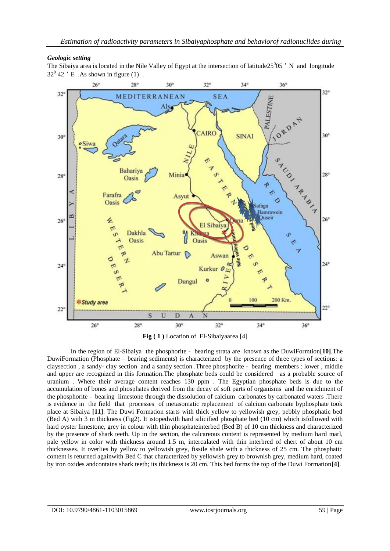# *Geologic setting*

The Sibaiya area is located in the Nile Valley of Egypt at the intersection of latitude  $25^0$ 05  $\degree$  N and longitude  $32^0$  42  $\degree$  E. As shown in figure (1).



**Fig ( 1 )** Location of El-Sibaiyaarea [4]

In the region of El-Sibaiya the phosphorite - bearing strata are known as the DuwiFormtion**[10]**.The DuwiFormation (Phosphate – bearing sediments) is characterized by the presence of three types of sections: a claysection , a sandy- clay section and a sandy section .Three phosphorite - bearing members : lower , middle and upper are recognized in this formation.The phosphate beds could be considered as a probable source of uranium . Where their average content reaches 130 ppm . The Egyptian phosphate beds is due to the accumulation of bones and phosphates derived from the decay of soft parts of organisms and the enrichment of the phosphorite - bearing limestone through the dissolution of calcium carbonates by carbonated waters .There is evidence in the field that processes of metasomatic replacement of calcium carbonate byphosphate took place at Sibaiya **[11]**. The Duwi Formation starts with thick yellow to yellowish grey, pebbly phosphatic bed (Bed A) with 3 m thickness (Fig2). It istopedwith hard silicified phosphate bed (10 cm) which isfollowed with hard oyster limestone, grey in colour with thin phosphateinterbed (Bed B) of 10 cm thickness and characterized by the presence of shark teeth. Up in the section, the calcareous content is represented by medium hard marl, pale yellow in color with thickness around 1.5 m, intercalated with thin interbred of chert of about 10 cm thicknesses. It overlies by yellow to yellowish grey, fissile shale with a thickness of 25 cm. The phosphatic content is returned againwith Bed C that characterized by yellowish grey to brownish grey, medium hard, coated by iron oxides andcontains shark teeth; its thickness is 20 cm. This bed forms the top of the Duwi Formation**[4]**.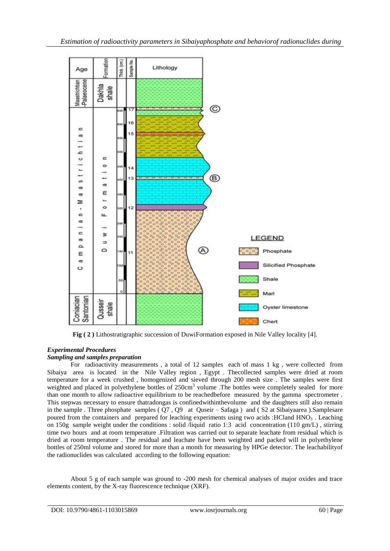

**Fig ( 2 )** Lithostratigraphic succession of DuwiFormation exposed in Nile Valley locality [4].

# *Experimental Procedures*

#### *Sampling and samples preparation*

For radioactivity measurements , a total of 12 samples each of mass 1 kg , were collected from Sibaiya area is located in the Nile Valley region , Egypt . Thecollected samples were dried at room temperature for a week crushed , homogenized and sieved through 200 mesh size . The samples were first weighted and placed in polyethylene bottles of 250cm<sup>3</sup> volume .The bottles were completely sealed for more than one month to allow radioactive equilibrium to be reachedbefore measured by the gamma spectrometer . This stepwas necessary to ensure thatradongas is confinedwithinthevolume and the daughters still also remain in the sample . Three phosphate samples ( Q7 , Q9 at Quseir – Safaga ) and ( S2 at Sibaiyaarea ).Samplesare poured from the containers and prepared for leaching experiments using two acids : HCland HNO $_3$ . Leaching on 150g sample weight under the conditions : solid /liquid ratio 1:3 acid concentration (110 gm/L) , stirring time two hours and at room temperature .Filtration was carried out to separate leachate from residual which is dried at room temperature . The residual and leachate have been weighted and packed will in polyethylene bottles of 250ml volume and stored for more than a month for measuring by HPGe detector. The leachabilityof the radionuclides was calculated according to the following equation:

About 5 g of each sample was ground to -200 mesh for chemical analyses of major oxides and trace elements content, by the X-ray fluorescence technique (XRF).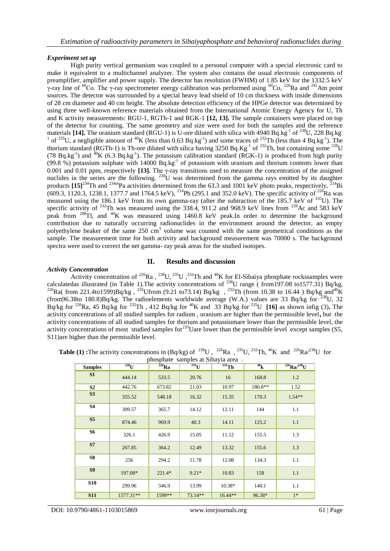#### *Experiment set up*

High purity vertical germanium was coupled to a personal computer with a special electronic card to make it equivalent to a multichannel analyzer. The system also contains the usual electronic components of preamplifier, amplifier and power supply. The detector has resolution (FWHM) of 1.85 keV for the 1332.5 keV γ-ray line of <sup>60</sup>Co. The γ-ray spectrometer energy calibration was performed using <sup>60</sup>Co, <sup>226</sup>Ra and <sup>241</sup>Am point sources. The detector was surrounded by a special heavy lead shield of 10 cm thickness with inside dimensions of 28 cm diameter and 40 cm height. The absolute detection efficiency of the HPGe detector was determined by using three well-known reference materials obtained from the International Atomic Energy Agency for U, Th and K activity measurements: RGU-1, RGTh-1 and RGK-1 **[12, 13].** The sample containers were placed on top of the detector for counting. The same geometry and size were used for both the samples and the reference materials [14]. The uranium standard (RGU-1) is U-ore diluted with silica with 4940 Bq.kg<sup>-1</sup> of <sup>238</sup>U, 228 Bq.kg<sup>-1</sup> <sup>1</sup> of <sup>235</sup>U, a negligible amount of <sup>40</sup>K (less than 0.63 Bq.kg<sup>-1</sup>) and some traces of <sup>232</sup>Th (less than 4 Bq.kg<sup>-1</sup>). The thorium standard (RGTh-1) is Th-ore diluted with silica having 3250 Bq.Kg<sup>-1</sup> of <sup>232</sup>Th, but containing some <sup>238</sup>U (78 Bq.kg<sup>-1</sup>) and <sup>40</sup>K (6.3 Bq.kg<sup>-1</sup>). The potassium calibration standard (RGK-1) is produced from high purity (99.8 %) potassium sulphate with 14000 Bq.kg<sup>-1</sup> of potassium with uranium and thorium contents lower than 0.001 and 0.01 ppm, respectively [13]. The  $\gamma$ -ray transitions used to measure the concentration of the assigned nuclides in the series are the following.  $^{238}U$  was determined from the gamma rays emitted by its daughter products  $[15]^{234}$ Th and <sup>234m</sup>Pa activities determined from the 63.3 and 1001 keV photo peaks, respectively,  $^{214}$ Bi  $(609.3, 1120.3, 1238.1, 1377.7 \text{ and } 1764.5 \text{ keV})$ ,  $^{214}$ Pb (295.1 and 352.0 keV). The specific activity of  $^{226}$ Ra was measured using the 186.1 keV from its own gamma-ray (after the subtraction of the 185.7 keV of <sup>235</sup>U). The specific activity of <sup>232</sup>Th was measured using the 338.4, 911.2 and 968.9 keV lines from <sup>228</sup>Ac and 583 keV peak from  $^{208}$ Tl, and  $^{40}$ K was measured using 1460.8 keV peak.In order to determine the background contribution due to naturally occurring radionuclides in the environment around the detector, an empty polyethylene beaker of the same 250 cm<sup>3</sup> volume was counted with the same geometrical conditions as the sample. The measurement time for both activity and background measurement was 70000 s. The background spectra were used to correct the net gamma- ray peak areas for the studied isotopes.

#### **II. Results and discussion**

#### *Activity Concentration*

Activity concentration of  $^{226}Ra$ ,  $^{238}U$ ,  $^{235}U$ ,  $^{232}Th$  and  $^{40}K$  for El-Sibaiya phosphate rockssamples were calculatedas illustrated (in Table 1). The activity concentrations of <sup>238</sup>U range (from197.08 to1577.31) Bq/kg, <sup>226</sup>Ra( from 221.4to1599)Bq/kg, <sup>235</sup>Ufrom (9.21 to73.14) Bq/kg, <sup>232</sup>Th (from 10.38 to 16.44) Bq/kg and<sup>40</sup>K (from96.38to 180.8)Bq/kg. The radioelements worldwide average (W.A.) values are 33 Bq/kg for  $238$ U, 32 Bq/kg for <sup>226</sup>Ra, 45 Bq/kg for <sup>232</sup>Th, 412 Bq/kg for <sup>40</sup>K and 33 Bq/kg for <sup>235</sup>U **[16]** as shown infig (3). The activity concentrations of all studied samples for radium , uranium are higher than the permissible level**,** but the activity concentrations of all studied samples for thorium and potassiumare lower than the permissible level, the activity concentrations of most studied samples for<sup>235</sup>Uare lower than the permissible level except samples (S5, S11)are higher than the permissible level.

**Table (1) <b>:**The activity concentrations in (Bq/kg) of <sup>238</sup>U, <sup>226</sup>Ra, <sup>235</sup>U, <sup>232</sup>Th, <sup>40</sup>K and <sup>226</sup>Ra<sup> $/238$ </sup>U for phosphate samples at Sibayia area .

| <b>Samples</b> | $238$ U   | $226$ Ra | $235$ U   | $232$ Th  | 40 <sub>k</sub> | $^{226}Ra/^{238}U$ |
|----------------|-----------|----------|-----------|-----------|-----------------|--------------------|
| S <sub>1</sub> | 444.14    | 533.5    | 20.76     | 16        | 168.8           | 1.2                |
| S <sub>2</sub> | 442.76    | 673.82   | 21.03     | 10.97     | 180.8**         | 1.52               |
| S3             | 355.52    | 548.18   | 16.32     | 15.35     | 170.3           | $1.54**$           |
| <b>S4</b>      | 309.57    | 365.7    | 14.12     | 12.11     | 144             | 1.1                |
| S <sub>5</sub> | 874.46    | 969.9    | 40.3      | 14.11     | 125.2           | 1.1                |
| <b>S6</b>      | 326.1     | 426.9    | 15.05     | 11.12     | 155.5           | 1.3                |
| S7             | 267.85    | 364.2    | 12.49     | 13.32     | 155.6           | 1.3                |
| <b>S8</b>      | 256       | 294.2    | 11.78     | 12.08     | 134.3           | 1.1                |
| S <sub>9</sub> | 197.08*   | $221.4*$ | $9.21*$   | 10.83     | 158             | 1.1                |
| <b>S10</b>     | 299.96    | 346.9    | 13.99     | 10.38*    | 140.1           | 1.1                |
| <b>S11</b>     | 1577.31** | 1599**   | $73.14**$ | $16.44**$ | 96.38*          | $1*$               |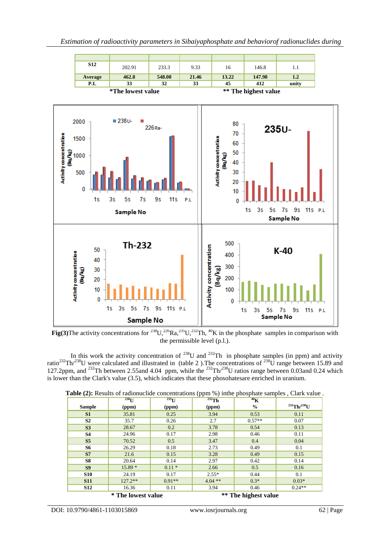

**Fig(3)**The activity concentrations for <sup>238</sup>U,<sup>226</sup>Ra,<sup>235</sup>U,<sup>232</sup>Th, <sup>40</sup>K in the phosphate samples in comparison with the permissible level (p.l.).

In this work the activity concentration of  $^{238}$ U and  $^{232}$ Th in phosphate samples (in ppm) and activity ratio<sup>232</sup>Th<sup>/238</sup>U were calculated and illustrated in (table 2). The concentrations of <sup>238</sup>U range between 15.89 and 127.2ppm, and <sup>232</sup>Th between 2.55and 4.04 ppm, while the <sup>232</sup>Th<sup>/238</sup>U ratios range between 0.03and 0.24 which is lower than the Clark's value (3.5), which indicates that these phosohatesare enriched in uranium.

|                | $238$ <sup>U</sup> | $235$ <sup>U</sup> | . .<br>$232$ Th | $40\text{K}$         |                         |
|----------------|--------------------|--------------------|-----------------|----------------------|-------------------------|
| <b>Sample</b>  | (ppm)              | (ppm)              | (ppm)           | $\frac{6}{6}$        | $^{232}$ Th/ $^{238}$ U |
| S1             | 35.81              | 0.25               | 3.94            | 0.53                 | 0.11                    |
| S <sub>2</sub> | 35.7               | 0.26               | 2.7             | $0.57**$             | 0.07                    |
| S <sub>3</sub> | 28.67              | 0.2                | 3.78            | 0.54                 | 0.13                    |
| <b>S4</b>      | 24.96              | 0.17               | 2.98            | 0.46                 | 0.11                    |
| S <sub>5</sub> | 70.52              | 0.5                | 3.47            | 0.4                  | 0.04                    |
| <b>S6</b>      | 26.29              | 0.18               | 2.73            | 0.49                 | 0.1                     |
| <b>S7</b>      | 21.6               | 0.15               | 3.28            | 0.49                 | 0.15                    |
| <b>S8</b>      | 20.64              | 0.14               | 2.97            | 0.42                 | 0.14                    |
| S <sub>9</sub> | $15.89*$           | $0.11*$            | 2.66            | 0.5                  | 0.16                    |
| <b>S10</b>     | 24.19              | 0.17               | $2.55*$         | 0.44                 | 0.1                     |
| <b>S11</b>     | $127.2**$          | $0.91**$           | $4.04$ **       | $0.3*$               | $0.03*$                 |
| <b>S12</b>     | 16.36              | 0.11               | 3.94            | 0.46                 | $0.24**$                |
|                | * The lowest value |                    |                 | ** The highest value |                         |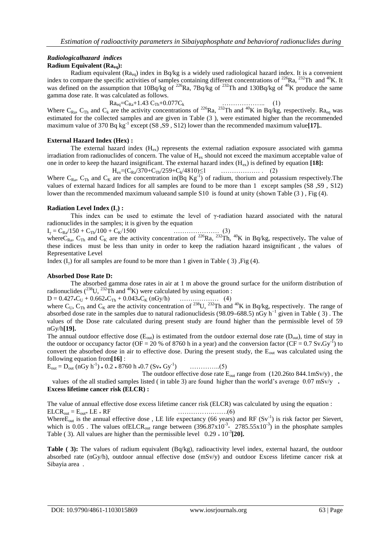# *Radiologicalhazard indices*

### **Radium Equivalent (Raeq):**

Radium equivalent ( $Ra_{eq}$ ) index in Bq/kg is a widely used radiological hazard index. It is a convenient index to compare the specific activities of samples containing different concentrations of  $^{226}Ra$ ,  $^{232}Th$  and  $^{40}K$ . It was defined on the assumption that  $10Bq/kg$  of <sup>226</sup>Ra, 7Bq/kg of <sup>232</sup>Th and  $130Bq/kg$  of <sup>40</sup>K produce the same gamma dose rate. It was calculated as follows.

 $Ra_{eq} = C_{Ra} + 1.43 C_{Th} + 0.077C_k$  (1)

Where  $C_{\text{Ra}}$ ,  $C_{\text{Th}}$  and  $C_k$  are the activity concentrations of <sup>226</sup>Ra, <sup>232</sup>Th and <sup>40</sup>K in Bq/kg, respectively. Ra<sub>eq</sub> was estimated for the collected samples and are given in Table (3 ), were estimated higher than the recommended maximum value of 370 Bq kg<sup>-1</sup> except (S8, S9, S12) lower than the recommended maximum value[17].

#### **External Hazard Index (Hex) :**

The external hazard index  $(H_{ex})$  represents the external radiation exposure associated with gamma irradiation from radionuclides of concern. The value of  $H_{ex}$  should not exceed the maximum acceptable value of one in order to keep the hazard insignificant. The external hazard index (Hex) is defined by equation **[18]:**  $H = (C_R / 370 + C_T / 259 + C_1 / 4810) \le 1$ 

Where 
$$
C_{Ra}
$$
,  $C_{Th}$  and  $C_K$  are the concentration in(Bq  $Kg^{-1}$ ) of radium, thorium and potassium respectively.  
values of external hazard Indices for all samples are found to be more than 1 except samples (S8, S9, S12)  
lower than the recommended maximum valueand sample S10 is found at unity (shown Table (3), Fig (4).

#### **Radiation Level Index (I**γ**) :**

This index can be used to estimate the level of  $\gamma$ -radiation hazard associated with the natural radionuclides in the samples; it is given by the equation

I<sup>γ</sup> = CRa/150 + CTh/100 + CK/1500 ………………… (3)

where C<sub>Ra</sub>, C<sub>Th</sub> and C<sub>K</sub> are the activity concentration of <sup>226</sup>Ra, <sup>232</sup>Th, <sup>40</sup>K in Bq/kg, respectively. The value of these indices must be less than unity in order to keep the radiation hazard insignificant , the values of Representative Level

Index  $(I_{\nu})$  for all samples are found to be more than 1 given in Table (3), Fig (4).

#### **Absorbed Dose Rate D:**

The absorbed gamma dose rates in air at 1 m above the ground surface for the uniform distribution of radionuclides ( $^{238}$ U,  $^{232}$ Th and  $^{40}$ K) were calculated by using equation :

D = 0.427**\***C<sup>U</sup> + 0.662**\***CTh + 0.043**\***C<sup>K</sup> (nGy/h) ……………… (4)

where C<sub>U</sub>, C<sub>Th</sub> and C<sub>K</sub> are the activity concentration of <sup>238</sup>U, <sup>232</sup>Th and <sup>40</sup>K in Bq/kg, respectively. The range of absorbed dose rate in the samples due to natural radionuclidesis (98.09**–**688.5) nGy h−1 given in Table ( 3) . The values of the Dose rate calculated during present study are found higher than the permissible level of 59 nGy/h**[19].**

The annual outdoor effective dose  $(E_{out})$  is estimated from the outdoor external dose rate  $(D_{out})$ , time of stay in the outdoor or occupancy factor ( $OF = 20$  % of 8760 h in a year) and the conversion factor ( $CF = 0.7$  Sv**.**Gy<sup>-1</sup>) to convert the absorbed dose in air to effective dose. During the present study, the E<sub>out</sub> was calculated using the following equation from**[16]** :

 $E_{\text{out}} = D_{\text{out}} (\text{nGy h}^{-1}) * 0.2 * 8760 \text{ h} * 0.7 (\text{Sv} * \text{Gy}^{-1})$ ) …………..(5)

The outdoor effective dose rate  $E_{out}$  range from (120.26to 844.1mSv/y), the values of the all studied samples listed ( in table 3) are found higher than the world's average 0.07 mSv/y **. Excess lifetime cancer risk (ELCR) :**

The value of annual effective dose excess lifetime cancer risk (ELCR) was calculated by using the equation : ELCRout = Eout\* LE \* RF …………….…….(6)

Where E<sub>out</sub> is the annual effective dose, LE life expectancy (66 years) and RF  $(Sv^{-1})$  is risk factor per Sievert, which is  $0.05$ . The values of ELCR<sub>out</sub> range between  $(396.87 \times 10^{-3} - 2785.55 \times 10^{-3})$  in the phosphate samples Table (3). All values are higher than the permissible level  $0.29 * 10^{-3}$  [20].

**Table (3):** The values of radium equivalent (Bq/kg), radioactivity level index, external hazard, the outdoor absorbed rate (nGy/h), outdoor annual effective dose (mSv/y) and outdoor Excess lifetime cancer risk at Sibayia area .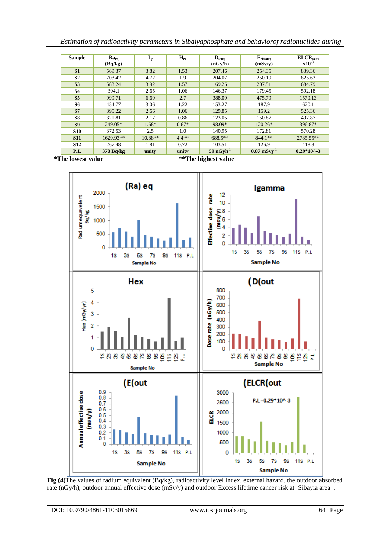| Estimation of radioactivity parameters in Sibaiyaphosphate and behaviorof radionuclides during |  |  |  |
|------------------------------------------------------------------------------------------------|--|--|--|
|                                                                                                |  |  |  |
|                                                                                                |  |  |  |

| <b>Sample</b>  | $Ra_{eq}$<br>(Bq/kg) | $\mathbf{I}_{\nu}$ | $H_{\rm ex}$ | $\mathbf{D}_{\text{(out)}}$<br>(nGy/h) | $E_{\text{eff(out)}}$<br>(mSv/y)         | $\mathbf{ELCR}_{(out)}$<br>$x10^{-3}$ |
|----------------|----------------------|--------------------|--------------|----------------------------------------|------------------------------------------|---------------------------------------|
| S <sub>1</sub> | 569.37               | 3.82               | 1.53         | 207.46                                 | 254.35                                   | 839.36                                |
| S <sub>2</sub> | 703.42               | 4.72               | 1.9          | 204.07                                 | 250.19                                   | 825.63                                |
| S <sub>3</sub> | 583.24               | 3.92               | 1.57         | 169.26                                 | 207.51                                   | 684.79                                |
| <b>S4</b>      | 394.1                | 2.65               | 1.06         | 146.37                                 | 179.45                                   | 592.18                                |
| S <sub>5</sub> | 999.71               | 6.69               | 2.7          | 388.09                                 | 475.79                                   | 1570.13                               |
| <b>S6</b>      | 454.77               | 3.06               | 1.22         | 153.27                                 | 187.9                                    | 620.1                                 |
| S7             | 395.22               | 2.66               | 1.06         | 129.85                                 | 159.2                                    | 525.36                                |
| S8             | 321.81               | 2.17               | 0.86         | 123.05                                 | 150.87                                   | 497.87                                |
| S <sub>9</sub> | 249.05*              | $1.68*$            | $0.67*$      | 98.09*                                 | $120.26*$                                | 396.87*                               |
| <b>S10</b>     | 372.53               | 2.5                | 1.0          | 140.95                                 | 172.81                                   | 570.28                                |
| <b>S11</b>     | 1629.93**            | $10.88**$          | $4.4**$      | 688.5**                                | $844.1**$                                | 2785.55**                             |
| <b>S12</b>     | 267.48               | 1.81               | 0.72         | 103.51                                 | 126.9                                    | 418.8                                 |
| P.L            | 370 Bq/kg            | unity              | unity        | $59 nGv h^{-1}$                        | $0.07 \,\mathrm{mS}$ v $\mathrm{v}^{-1}$ | $0.29*10^{\scriptstyle \wedge}$ -3    |

 **\*The lowest value \*\*The highest value**



**Fig (4)**The values of radium equivalent (Bq/kg), radioactivity level index, external hazard, the outdoor absorbed rate (nGy/h), outdoor annual effective dose (mSv/y) and outdoor Excess lifetime cancer risk at Sibayia area .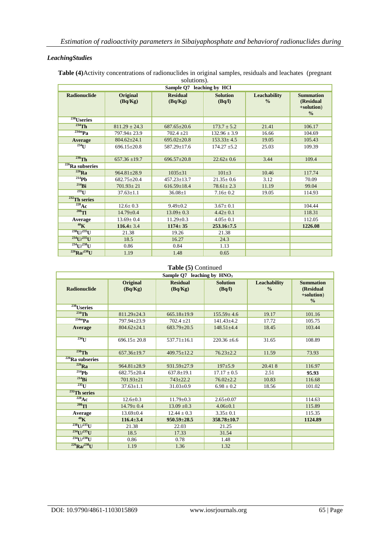#### *LeachingStudies*

| $s$ <i>orduons).</i><br>Sample Q7<br>leaching by HCl |                     |                            |                           |                                      |                                                              |  |  |
|------------------------------------------------------|---------------------|----------------------------|---------------------------|--------------------------------------|--------------------------------------------------------------|--|--|
| <b>Radionuclide</b>                                  | Original<br>(Bq/Kg) | <b>Residual</b><br>(Bq/Kg) | <b>Solution</b><br>(Bq/l) | <b>Leachability</b><br>$\frac{0}{0}$ | <b>Summation</b><br>(Residual<br>+solution)<br>$\frac{0}{0}$ |  |  |
| $238$ Useries                                        |                     |                            |                           |                                      |                                                              |  |  |
| $^{234}$ Th                                          | $811.29 \pm 24.3$   | $687.65 \pm 20.6$          | $173.7 \pm 5.2$           | 21.41                                | 106.17                                                       |  |  |
| $234m$ Pa                                            | $797.94 \pm 23.9$   | $702.4 \pm 21$             | $132.96 \pm 3.9$          | 16.66                                | 104.69                                                       |  |  |
| Average                                              | $804.62 \pm 24.1$   | $695.02 \pm 20.8$          | $153.33 \pm 4.5$          | 19.05                                | 105.43                                                       |  |  |
| $^{234}$ U                                           | $696.15 \pm 20.8$   | 587.29±17.6                | $174.27 \pm 5.2$          | 25.03                                | 109.39                                                       |  |  |
| $230$ Th                                             | $657.36 \pm 19.7$   | $696.57 \pm 20.8$          | $22.62 \pm 0.6$           | 3.44                                 | 109.4                                                        |  |  |
| $226$ <b>Ra</b> subseries                            |                     |                            |                           |                                      |                                                              |  |  |
| $^{226}$ Ra                                          | $964.81 \pm 28.9$   | $1035 \pm 31$              | $101 \pm 3$               | 10.46                                | 117.74                                                       |  |  |
| $^{214}Pb$                                           | $682.75 \pm 20.4$   | $457.23 \pm 13.7$          | $21.35 \pm 0.6$           | 3.12                                 | 70.09                                                        |  |  |
| $^{214}$ Bi                                          | $701.93 + 21$       | $616.59 \pm 18.4$          | $78.61 \pm 2.3$           | 11.19                                | 99.04                                                        |  |  |
| $^{235}$ U                                           | $37.63 \pm 1.1$     | $36.08 \pm 1$              | $7.16 \pm 0.2$            | 19.05                                | 114.93                                                       |  |  |
| $232$ Th series                                      |                     |                            |                           |                                      |                                                              |  |  |
| $228$ Ac                                             | $12.6 \pm 0.3$      | $9.49 \pm 0.2$             | $3.67 \pm 0.1$            |                                      | 104.44                                                       |  |  |
| $208$ TI                                             | $14.79 \pm 0.4$     | $13.09 \pm 0.3$            | $4.42 \pm 0.1$            |                                      | 118.31                                                       |  |  |
| Average                                              | $13.69 \pm 0.4$     | $11.29 \pm 0.3$            | $4.05 \pm 0.1$            |                                      | 112.05                                                       |  |  |
| 40 <sub>K</sub>                                      | $116.4 \pm 3.4$     | $1174 \pm 35$              | $253.16 + 7.5$            |                                      | 1226.08                                                      |  |  |
| $^{238}$ U/ $^{235}$ U                               | 21.38               | 19.26                      | 21.38                     |                                      |                                                              |  |  |
| $^{234}$ U/ $^{235}$ U                               | 18.5                | 16.27                      | 24.3                      |                                      |                                                              |  |  |
| $^{234}$ U/ $^{238}$ U                               | 0.86                | 0.84                       | 1.13                      |                                      |                                                              |  |  |
| $^{226}$ Ra $/^{238}$ U                              | 1.19                | 1.48                       | 0.65                      |                                      |                                                              |  |  |

**Table (4)**Activity concentrations of radionuclides in original samples, residuals and leachates (pregnant solutions).

# **Table (5)** Continued

| Sample $Q7$ leaching by $HNO3$ |                            |                            |                           |                               |                                                              |  |
|--------------------------------|----------------------------|----------------------------|---------------------------|-------------------------------|--------------------------------------------------------------|--|
| <b>Radionuclide</b>            | <b>Original</b><br>(Bq/Kg) | <b>Residual</b><br>(Bq/Kg) | <b>Solution</b><br>(Bq/l) | Leachability<br>$\frac{0}{0}$ | <b>Summation</b><br>(Residual<br>+solution)<br>$\frac{0}{0}$ |  |
| <sup>238</sup> Useries         |                            |                            |                           |                               |                                                              |  |
| $234$ Th                       | $811.29 \pm 24.3$          | $665.18 \pm 19.9$          | $155.59 \pm 4.6$          | 19.17                         | 101.16                                                       |  |
| $234m$ Pa                      | 797.94±23.9                | $702.4 \pm 21$             | $141.43 \pm 4.2$          | 17.72                         | 105.75                                                       |  |
| Average                        | $804.62 \pm 24.1$          | $683.79 \pm 20.5$          | $148.51 \pm 4.4$          | 18.45                         | 103.44                                                       |  |
| $^{234}$ U                     | $696.15 \pm 20.8$          | $537.71 \pm 16.1$          | $220.36 \pm 6.6$          | 31.65                         | 108.89                                                       |  |
| $230$ Th                       | $657.36 \pm 19.7$          | $409.75 \pm 12.2$          | $76.23 \pm 2.2$           | 11.59                         | 73.93                                                        |  |
| $226$ Ra subseries             |                            |                            |                           |                               |                                                              |  |
| $226$ Ra                       | $964.81 \pm 28.9$          | $931.59 \pm 27.9$          | $197 + 5.9$               | 20.418                        | 116.97                                                       |  |
| $^{214}Pb$                     | $682.75 \pm 20.4$          | $637.8 \pm 19.1$           | $17.17 \pm 0.5$           | 2.51                          | 95.93                                                        |  |
| $^{214}$ Bi                    | $701.93 \pm 21$            | $743 \pm 22.2$             | $76.02 \pm 2.2$           | 10.83                         | 116.68                                                       |  |
| $^{235}$ U                     | $37.63 \pm 1.1$            | $31.03 \pm 0.9$            | $6.98 \pm 0.2$            | 18.56                         | 101.02                                                       |  |
| $232$ Th series                |                            |                            |                           |                               |                                                              |  |
| $228$ Ac                       | $12.6 \pm 0.3$             | $11.79 \pm 0.3$            | $2.65 \pm 0.07$           |                               | 114.63                                                       |  |
| $^{208}$ Tl                    | $14.79 \pm 0.4$            | $13.09 \pm 0.3$            | $4.06 \pm 0.1$            |                               | 115.89                                                       |  |
| Average                        | $13.69 \pm 0.4$            | $12.44 \pm 0.3$            | $3.35 \pm 0.1$            |                               | 115.35                                                       |  |
| $40\text{K}$                   | $116.4 \pm 3.4$            | $950.59 \pm 28.5$          | $358.78 \pm 10.7$         |                               | 1124.89                                                      |  |
| $^{238}$ U/ $^{235}$ U         | 21.38                      | 22.03                      | 21.25                     |                               |                                                              |  |
| $^{234}$ U $/^{235}$ U         | 18.5                       | 17.33                      | 31.54                     |                               |                                                              |  |
| $^{234}$ U/ $^{238}$ U         | 0.86                       | 0.78                       | 1.48                      |                               |                                                              |  |
| $^{226}Ra/^{238}U$             | 1.19                       | 1.36                       | 1.32                      |                               |                                                              |  |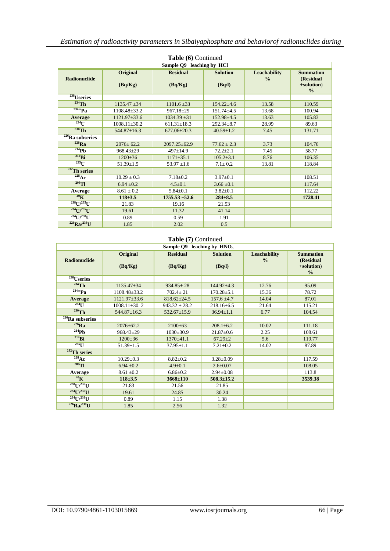| Table (6) Continued       |                            |                            |                           |                               |                                             |  |  |
|---------------------------|----------------------------|----------------------------|---------------------------|-------------------------------|---------------------------------------------|--|--|
| Sample Q9 leaching by HCl |                            |                            |                           |                               |                                             |  |  |
| <b>Radionuclide</b>       | <b>Original</b><br>(Bq/Kg) | <b>Residual</b><br>(Bq/Kg) | <b>Solution</b><br>(Bq/l) | Leachability<br>$\frac{0}{0}$ | <b>Summation</b><br>(Residual<br>+solution) |  |  |
|                           |                            |                            |                           |                               | $\frac{0}{0}$                               |  |  |
| $238$ Useries             |                            |                            |                           |                               |                                             |  |  |
| $^{234}$ Th               | $1135.47 \pm 34$           | $1101.6 \pm 33$            | $154.22 + 4.6$            | 13.58                         | 110.59                                      |  |  |
| $234m$ Pa                 | 1108.48+33.2               | $967.18 + 29$              | $151.74 + 4.5$            | 13.68                         | 100.94                                      |  |  |
| Average                   | $1121.97\pm33.6$           | $1034.39 + 31$             | $152.98 \pm 4.5$          | 13.63                         | 105.83                                      |  |  |
| $^{234}$ U                | $1008.11 \pm 30.2$         | $611.31 \pm 18.3$          | $292.34 \pm 8.7$          | 28.99                         | 89.63                                       |  |  |
| $230$ Th                  | $544.87 \pm 16.3$          | $677.06 \pm 20.3$          | $40.59 \pm 1.2$           | 7.45                          | 131.71                                      |  |  |
| $226$ Ra subseries        |                            |                            |                           |                               |                                             |  |  |
| $^{226}Ra$                | $2076+62.2$                | $2097.25 + 62.9$           | $77.62 \pm 2.3$           | 3.73                          | 104.76                                      |  |  |
| $^{214}Ph$                | $968.43 \pm 29$            | $497+14.9$                 | $72.2 \pm 2.1$            | 7.45                          | 58.77                                       |  |  |
| $^{214}Bi$                | $1200 \pm 36$              | $1171 \pm 35.1$            | $105.2 \pm 3.1$           | 8.76                          | 106.35                                      |  |  |
| $^{235}$ U                | $51.39 \pm 1.5$            | $53.97 \pm 1.6$            | $7.1 \pm 0.2$             | 13.81                         | 118.84                                      |  |  |
| $232$ Th series           |                            |                            |                           |                               |                                             |  |  |
| $228$ Ac                  | $10.29 \pm 0.3$            | $7.18 + 0.2$               | $3.97+0.1$                |                               | 108.51                                      |  |  |
| $^{208}$ TI               | $6.94 \pm 0.2$             | $4.5 \pm 0.1$              | $3.66 \pm 0.1$            |                               | 117.64                                      |  |  |
| Average                   | $8.61 \pm 0.2$             | $5.84 \pm 0.1$             | $3.82 \pm 0.1$            |                               | 112.22                                      |  |  |
| $40\text{K}$              | $118 + 3.5$                | $1755.53 + 52.6$           | $284 \pm 8.5$             |                               | 1728.41                                     |  |  |
| $^{238}$ U/ $^{235}$ U    | 21.83                      | 19.16                      | 21.53                     |                               |                                             |  |  |
| $^{234}$ U/ $^{235}$ U    | 19.61                      | 11.32                      | 41.14                     |                               |                                             |  |  |
| $^{234}$ U/ $^{238}$ U    | 0.89                       | 0.59                       | 1.91                      |                               |                                             |  |  |
| $^{226}Ra/^{238}U$        | 1.85                       | 2.02                       | 0.5                       |                               |                                             |  |  |

#### **Table (7)** Continued

| Sample $Q9$ leaching by $HNO3$ |                     |                            |                           |                               |                                                              |  |
|--------------------------------|---------------------|----------------------------|---------------------------|-------------------------------|--------------------------------------------------------------|--|
| <b>Radionuclide</b>            | Original<br>(Bq/Kg) | <b>Residual</b><br>(Bq/Kg) | <b>Solution</b><br>(Bq/l) | Leachability<br>$\frac{0}{0}$ | <b>Summation</b><br>(Residual<br>+solution)<br>$\frac{0}{0}$ |  |
| <sup>238</sup> Useries         |                     |                            |                           |                               |                                                              |  |
| $^{234}$ Th                    | $1135.47 \pm 34$    | $934.85 \pm 28$            | $144.92 + 4.3$            | 12.76                         | 95.09                                                        |  |
| $234m$ Pa                      | 1108.48+33.2        | $702.4 + 21$               | $170.28 \pm 5.1$          | 15.36                         | 78.72                                                        |  |
| Average                        | $1121.97\pm33.6$    | $818.62 \pm 24.5$          | $157.6 \pm 4.7$           | 14.04                         | 87.01                                                        |  |
| $^{234}$ U                     | $1008.11 + 30.2$    | $943.32 \pm 28.2$          | $218.16\pm 6.5$           | 21.64                         | 115.21                                                       |  |
| $230$ Th                       | $544.87 \pm 16.3$   | 532.67±15.9                | $36.94 \pm 1.1$           | 6.77                          | 104.54                                                       |  |
| $226$ <b>Ra</b> subseries      |                     |                            |                           |                               |                                                              |  |
| $^{226}Ra$                     | $2076 \pm 62.2$     | $2100+63$                  | $208.1 \pm 6.2$           | 10.02                         | 111.18                                                       |  |
| $^{214}Pb$                     | $968.43 \pm 29$     | $1030 \pm 30.9$            | $21.87 \pm 0.6$           | 2.25                          | 108.61                                                       |  |
| $^{214}$ Bi                    | $1200+36$           | $1370 + 41.1$              | $67.29 \pm 2$             | 5.6                           | 119.77                                                       |  |
| $^{235}$ U                     | $51.39 \pm 1.5$     | $37.95 \pm 1.1$            | $7.21 \pm 0.2$            | 14.02                         | 87.89                                                        |  |
| $232$ Th series                |                     |                            |                           |                               |                                                              |  |
| $^{228}$ Ac                    | $10.29 \pm 0.3$     | $8.82 \pm 0.2$             | $3.28 \pm 0.09$           |                               | 117.59                                                       |  |
| $208$ Tl                       | $6.94 \pm 0.2$      | $4.9 \pm 0.1$              | $2.6 \pm 0.07$            |                               | 108.05                                                       |  |
| Average                        | $8.61 \pm 0.2$      | $6.86 + 0.2$               | $2.94 \pm 0.08$           |                               | 113.8                                                        |  |
| $40\text{K}$                   | $118 \pm 3.5$       | $3668 \pm 110$             | $508.3 \pm 15.2$          |                               | 3539.38                                                      |  |
| $^{238}$ U/ $^{235}$ U         | 21.83               | 21.56                      | 21.85                     |                               |                                                              |  |
| $^{234}$ U/ $^{235}$ U         | 19.61               | 24.85                      | 30.24                     |                               |                                                              |  |
| $^{234}$ U/ $^{238}$ U         | 0.89                | 1.15                       | 1.38                      |                               |                                                              |  |
| $^{226}Ra/^{238}U$             | 1.85                | 2.56                       | 1.32                      |                               |                                                              |  |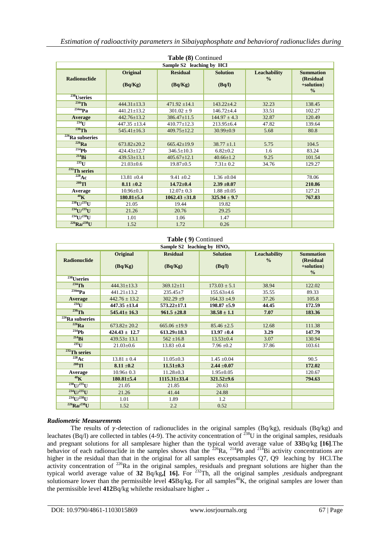| Table (8) Continued       |                            |                            |                           |                                      |                                                              |  |  |
|---------------------------|----------------------------|----------------------------|---------------------------|--------------------------------------|--------------------------------------------------------------|--|--|
| Sample S2 leaching by HCl |                            |                            |                           |                                      |                                                              |  |  |
| <b>Radionuclide</b>       | <b>Original</b><br>(Bq/Kg) | <b>Residual</b><br>(Bq/Kg) | <b>Solution</b><br>(Bq/l) | <b>Leachability</b><br>$\frac{0}{0}$ | <b>Summation</b><br>(Residual<br>+solution)<br>$\frac{0}{0}$ |  |  |
| <sup>238</sup> Useries    |                            |                            |                           |                                      |                                                              |  |  |
| $^{234}$ Th               | $444.31 + 13.3$            | $471.92 + 14.1$            | $143.22 + 4.2$            | 32.23                                | 138.45                                                       |  |  |
| $234m$ Pa                 | $441.21 + 13.2$            | $301.02 \pm 9$             | $146.72 + 4.4$            | 33.51                                | 102.27                                                       |  |  |
| Average                   | $442.76 \pm 13.2$          | $386.47 \pm 11.5$          | $144.97 \pm 4.3$          | 32.87                                | 120.49                                                       |  |  |
| 234                       | $447.35 \pm 13.4$          | $410.77 \pm 12.3$          | $213.95\pm 6.4$           | 47.82                                | 139.64                                                       |  |  |
| $230$ Th                  | $545.41 \pm 16.3$          | $409.75 \pm 12.2$          | $30.99 \pm 0.9$           | 5.68                                 | 80.8                                                         |  |  |
| $226$ Ra subseries        |                            |                            |                           |                                      |                                                              |  |  |
| $226$ Ra                  | $673.82 + 20.2$            | $665.42 \pm 19.9$          | $38.77 + 1.1$             | 5.75                                 | 104.5                                                        |  |  |
| $^{214}Pb$                | $424.43+12.7$              | $346.5 \pm 10.3$           | $6.82 \pm 0.2$            | 1.6                                  | 83.24                                                        |  |  |
| $^{214}$ Bi               | $439.53 + 13.1$            | $405.67 + 12.1$            | $40.66 + 1.2$             | 9.25                                 | 101.54                                                       |  |  |
| $235$ U                   | $21.03 \pm 0.6$            | $19.87 \pm 0.5$            | $7.31 \pm 0.2$            | 34.76                                | 129.27                                                       |  |  |
| $232$ Th series           |                            |                            |                           |                                      |                                                              |  |  |
| $228$ Ac                  | $13.81 \pm 0.4$            | $9.41 \pm 0.2$             | $1.36 \pm 0.04$           |                                      | 78.06                                                        |  |  |
| $208$ Tl                  | $8.11 \pm 0.2$             | $14.72 \pm 0.4$            | $2.39 \pm 0.07$           |                                      | 210.86                                                       |  |  |
| Average                   | $10.96 \pm 0.3$            | $12.07 \pm 0.3$            | $1.88 \pm 0.05$           |                                      | 127.21                                                       |  |  |
| $40\text{K}$              | $180.81 \pm 5.4$           | $1062.43 \pm 31.8$         | $325.94 \pm 9.7$          |                                      | 767.83                                                       |  |  |
| $^{238}$ U/ $^{235}$ U    | 21.05                      | 19.44                      | 19.82                     |                                      |                                                              |  |  |
| $^{234}$ U/ $^{235}$ U    | 21.26                      | 20.76                      | 29.25                     |                                      |                                                              |  |  |
| $^{234}$ U $^{1/238}$ U   | 1.01                       | 1.06                       | 1.47                      |                                      |                                                              |  |  |
| $^{226}$ Ra/ $^{238}$ U   | 1.52                       | 1.72                       | 0.26                      |                                      |                                                              |  |  |

#### **Table ( 9)** Continued

| Sample S2 leaching by $HNO3$ |                     |                            |                           |                               |                                                              |  |
|------------------------------|---------------------|----------------------------|---------------------------|-------------------------------|--------------------------------------------------------------|--|
| <b>Radionuclide</b>          | Original<br>(Bq/Kg) | <b>Residual</b><br>(Bq/Kg) | <b>Solution</b><br>(Bq/l) | Leachability<br>$\frac{0}{0}$ | <b>Summation</b><br>(Residual<br>+solution)<br>$\frac{0}{0}$ |  |
| $238$ Useries                |                     |                            |                           |                               |                                                              |  |
| $^{234}$ Th                  | $444.31 \pm 13.3$   | $369.12 \pm 11$            | $173.03 \pm 5.1$          | 38.94                         | 122.02                                                       |  |
| $234m$ Pa                    | $441.21 \pm 13.2$   | $235.45 \pm 7$             | $155.63{\pm}4.6$          | 35.55                         | 89.33                                                        |  |
| Average                      | $442.76 \pm 13.2$   | $302.29 + 9$               | $164.33 \pm 4.9$          | 37.26                         | 105.8                                                        |  |
| $^{234}$ U                   | $447.35 \pm 13.4$   | $573.22 \pm 17.1$          | $198.87 + 5.9$            | 44.45                         | 172.59                                                       |  |
| $230$ Th                     | $545.41 \pm 16.3$   | $961.5 \pm 28.8$           | $38.58 \pm 1.1$           | 7.07                          | 183.36                                                       |  |
| $226$ Ra subseries           |                     |                            |                           |                               |                                                              |  |
| $226$ Ra                     | $673.82 \pm 20.2$   | $665.06 \pm 19.9$          | $85.46 \pm 2.5$           | 12.68                         | 111.38                                                       |  |
| $^{214}Ph$                   | $424.43 \pm 12.7$   | $613.29 \pm 18.3$          | $13.97 \pm 0.4$           | 3.29                          | 147.79                                                       |  |
| $^{214}$ Bi                  | $439.53 \pm 13.1$   | $562 \pm 16.8$             | $13.53 \pm 0.4$           | 3.07                          | 130.94                                                       |  |
| $^{235}$ U                   | $21.03 \pm 0.6$     | $13.83 \pm 0.4$            | $7.96 \pm 0.2$            | 37.86                         | 103.61                                                       |  |
| $232$ Th series              |                     |                            |                           |                               |                                                              |  |
| $228$ Ac                     | $13.81 \pm 0.4$     | $11.05 \pm 0.3$            | $1.45 \pm 0.04$           |                               | 90.5                                                         |  |
| $208$ TI                     | $8.11 \pm 0.2$      | $11.51 \pm 0.3$            | $2.44 \pm 0.07$           |                               | 172.02                                                       |  |
| Average                      | $10.96 \pm 0.3$     | $11.28 \pm 0.3$            | $1.95 \pm 0.05$           |                               | 120.67                                                       |  |
| $40\text{K}$                 | $180.81 \pm 5.4$    | $1115.31\pm33.4$           | $321.52 \pm 9.6$          |                               | 794.63                                                       |  |
| $^{238}$ U/ $^{235}$ U       | 21.05               | 21.85                      | 20.63                     |                               |                                                              |  |
| $^{234}$ U/ $^{235}$ U       | 21.26               | 41.44                      | 24.88                     |                               |                                                              |  |
| $^{234}$ U/ $^{238}$ U       | 1.01                | 1.89                       | 1.2                       |                               |                                                              |  |
| $^{226}Ra/^{238}U$           | 1.52                | 2.2                        | 0.52                      |                               |                                                              |  |

#### *Radiometric Measuremrnts*

The results of  $\gamma$ -detection of radionuclides in the original samples (Bq/kg), residuals (Bq/kg) and leachates (Bq/l) are collected in tables (4-9). The activity concentration of  $^{238}$ U in the original samples, residuals and pregnant solutions for all samplesare higher than the typical world average value of **33**Bq/kg **[16]**.The behavior of each radionuclide in the samples shows that the  $^{226}Ra$ ,  $^{214}Pb$  and  $^{214}Bi$  activity concentrations are higher in the residual than that in the original for all samples exceptsamples Q7, Q9 leaching by HCl.The activity concentration of  $^{226}$ Ra in the original samples, residuals and pregnant solutions are higher than the typical world average value of **32** Bq/kg**,[ 16].** For <sup>232</sup>Th, all the original samples ,residuals andpregnant solutionsare lower than the permissible level  $45Bq/kg$ . For all samples<sup>40</sup>K, the original samples are lower than the permissible level **412**Bq/kg whilethe residualsare higher .**.**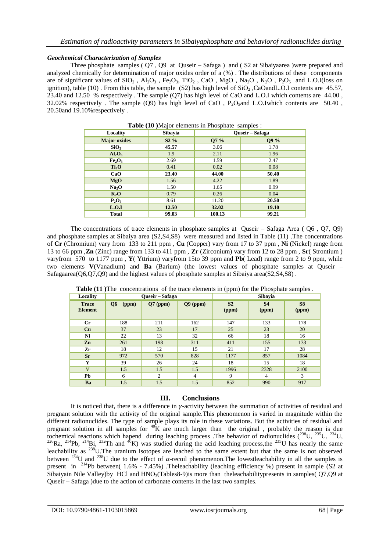#### *Geochemical Characterization of Samples*

Three phosphate samples ( Q7 , Q9 at Quseir – Safaga ) and ( S2 at Sibaiyaarea )were prepared and analyzed chemically for determination of major oxides order of a (%) . The distributions of these components are of significant values of  $SiO_2$ ,  $Al_2O_3$ ,  $Fe_2O_3$ ,  $TiO_2$ ,  $CaO$ ,  $MgO$ ,  $Na_2O$ ,  $K_2O$ ,  $P_2O_5$  and L.O.I(loss on ignition), table (10). From this table, the sample (S2) has high level of  $SiO<sub>2</sub>$ , CaOandL.O.I contents are 45.57, 23.40 and 12.50 % respectively . The sample (Q7) has high level of CaO and L.O.I which contents are 44.00 , 32.02% respectively. The sample  $(Q9)$  has high level of CaO, P<sub>2</sub>O<sub>5</sub>and L.O.Iwhich contents are 50.40, 20.50and 19.10%respectively .

| Locality                       | Sibayia | Quseir – Safaga |       |  |
|--------------------------------|---------|-----------------|-------|--|
| <b>Major</b> oxides            | $S2\%$  | Q7 %            | Q9 %  |  |
| SiO <sub>2</sub>               | 45.57   | 3.06            | 1.78  |  |
| $Al_2O_3$                      | 1.9     | 2.11            | 1.96  |  |
| Fe <sub>2</sub> O <sub>3</sub> | 2.69    | 1.59            | 2.47  |  |
| Ti <sub>2</sub> O              | 0.41    | 0.02            | 0.08  |  |
| CaO                            | 23.40   | 44.00           | 50.40 |  |
| MgO                            | 1.56    | 4.22            | 1.89  |  |
| Na <sub>2</sub> O              | 1.50    | 1.65            | 0.99  |  |
| $K_2O$                         | 0.79    | 0.26            | 0.04  |  |
| $P_2O_5$                       | 8.61    | 11.20           | 20.50 |  |
| L.O.I                          | 12.50   | 32.02           | 19.10 |  |
| <b>Total</b>                   | 99.03   | 100.13          | 99.21 |  |

**Table (10 )**Major elements in Phosphate samples :

The concentrations of trace elements in phosphate samples at Quseir – Safaga Area ( Q6 , Q7, Q9) and phosphate samples at Sibaiya area (S2,S4,S8) were measured and listed in Table (11) .The concentrations of **Cr** (Chromium) vary from 133 to 211 ppm , **Cu** (Copper) vary from 17 to 37 ppm , **Ni** (Nickel) range from 13 to 66 ppm ,**Zn** (Zinc) range from 133 to 411 ppm , **Zr** (Zirconium) vary from 12 to 28 ppm , **Sr**( Strontium ) varyfrom 570 to 1177 ppm , **Y**( Yttrium) varyfrom 15to 39 ppm and **Pb**( Lead) range from 2 to 9 ppm, while two elements **V**(Vanadium) and **Ba** (Barium) (the lowest values of phosphate samples at Quseir – Safagaarea( $O6, O7, O9$ ) and the highest values of phosphate samples at Sibaiya area( $S2, S4, S8$ ).

| Locality                       | <b>Ouseir</b> – Safaga  |                |            | <b>Sibayia</b>          |                    |                         |
|--------------------------------|-------------------------|----------------|------------|-------------------------|--------------------|-------------------------|
| <b>Trace</b><br><b>Element</b> | Q <sub>6</sub><br>(ppm) | $Q7$ (ppm)     | $Q9$ (ppm) | S <sub>2</sub><br>(ppm) | <b>S4</b><br>(ppm) | S <sub>8</sub><br>(ppm) |
| $_{\rm Cr}$                    | 188                     | 211            | 162        | 147                     | 133                | 178                     |
| Cu                             | 37                      | 23             | 17         | 25                      | 23                 | 20                      |
| Ni                             | 22                      | 13             | 32         | 66                      | 18                 | 16                      |
| Zn                             | 261                     | 198            | 311        | 411                     | 155                | 133                     |
| Zr                             | 18                      | 12             | 15         | 21                      | 17                 | 28                      |
| <b>Sr</b>                      | 972                     | 570            | 828        | 1177                    | 857                | 1084                    |
| Y                              | 39                      | 26             | 24         | 18                      | 15                 | 18                      |
| $\overline{\mathbf{V}}$        | 1.5                     | 1.5            | 1.5        | 1996                    | 2328               | 2100                    |
| Pb                             | 6                       | $\overline{c}$ | 4          | 9                       | 4                  | 3                       |
| Ba                             | 1.5                     | 1.5            | 1.5        | 852                     | 990                | 917                     |

**Table (11 )**The concentrations of the trace elements in (ppm) for the Phosphate samples .

#### **III. Conclusions**

It is noticed that, there is a difference in  $\gamma$ -activity between the summation of activities of residual and pregnant solution with the activity of the original sample.This phenomenon is varied in magnitude within the different radionuclides. The type of sample plays its role in these variations. But the activities of residual and pregnant solution in all samples for  ${}^{40}$ K are much larger than the original, probably the reason is due tochemical reactions which hapend during leaching process .The behavior of radionuclides (238U, 235U, 234U,  $^{226}$ Ra,  $^{214}$ Pb,  $^{214}$ Bi,  $^{232}$ Th and  $^{40}$ K) was studied during the acid leaching process,the  $^{235}$ U has nearly the same leachability as <sup>238</sup>U.The uranium isotopes are leached to the same extent but that the same is not observed between <sup>234</sup>U and <sup>238</sup>U due to the effect of  $\alpha$ -recoil phenomenon. The lowestleachability in all the samples is present in <sup>214</sup>Pb between( 1.6% - 7.45%) .Theleachability (leaching efficiency %) present in sample (S2 at Sibaiyain Nile Valley)by HCl and  $HNO<sub>3</sub>(Tables8-9)$  is more than theleachabilitypresents in samples( $Q7,Q9$  at Quseir – Safaga )due to the action of carbonate contents in the last two samples.